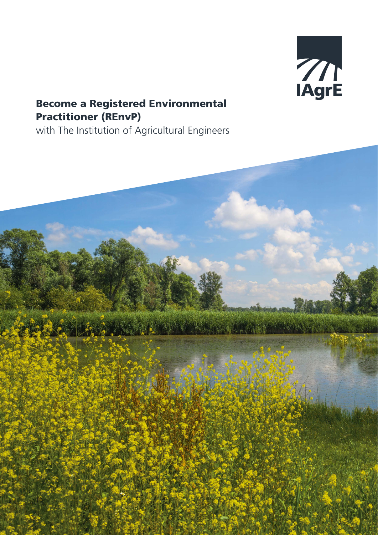

# Become a Registered Environmental Practitioner (REnvP)

with The Institution of Agricultural Engineers